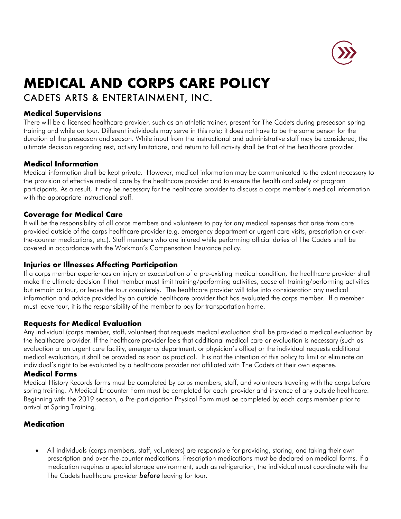

# **MEDICAL AND CORPS CARE POLICY**

# CADETS ARTS & ENTERTAINMENT, INC.

# **Medical Supervisions**

There will be a licensed healthcare provider, such as an athletic trainer, present for The Cadets during preseason spring training and while on tour. Different individuals may serve in this role; it does not have to be the same person for the duration of the preseason and season. While input from the instructional and administrative staff may be considered, the ultimate decision regarding rest, activity limitations, and return to full activity shall be that of the healthcare provider.

### **Medical Information**

Medical information shall be kept private. However, medical information may be communicated to the extent necessary to the provision of effective medical care by the healthcare provider and to ensure the health and safety of program participants. As a result, it may be necessary for the healthcare provider to discuss a corps member's medical information with the appropriate instructional staff.

# **Coverage for Medical Care**

It will be the responsibility of all corps members and volunteers to pay for any medical expenses that arise from care provided outside of the corps healthcare provider (e.g. emergency department or urgent care visits, prescription or overthe-counter medications, etc.). Staff members who are injured while performing official duties of The Cadets shall be covered in accordance with the Workman's Compensation Insurance policy.

# **Injuries or Illnesses Affecting Participation**

If a corps member experiences an injury or exacerbation of a pre-existing medical condition, the healthcare provider shall make the ultimate decision if that member must limit training/performing activities, cease all training/performing activities but remain or tour, or leave the tour completely. The healthcare provider will take into consideration any medical information and advice provided by an outside healthcare provider that has evaluated the corps member. If a member must leave tour, it is the responsibility of the member to pay for transportation home.

### **Requests for Medical Evaluation**

Any individual (corps member, staff, volunteer) that requests medical evaluation shall be provided a medical evaluation by the healthcare provider. If the healthcare provider feels that additional medical care or evaluation is necessary (such as evaluation at an urgent care facility, emergency department, or physician's office) or the individual requests additional medical evaluation, it shall be provided as soon as practical. It is not the intention of this policy to limit or eliminate an individual's right to be evaluated by a healthcare provider not affiliated with The Cadets at their own expense.

### **Medical Forms**

Medical History Records forms must be completed by corps members, staff, and volunteers traveling with the corps before spring training. A Medical Encounter Form must be completed for each provider and instance of any outside healthcare. Beginning with the 2019 season, a Pre-participation Physical Form must be completed by each corps member prior to arrival at Spring Training.

### **Medication**

• All individuals (corps members, staff, volunteers) are responsible for providing, storing, and taking their own prescription and over-the-counter medications. Prescription medications must be declared on medical forms. If a medication requires a special storage environment, such as refrigeration, the individual must coordinate with the The Cadets healthcare provider *before* leaving for tour.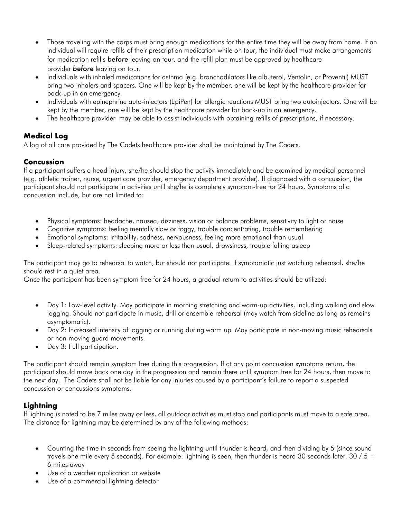- Those traveling with the corps must bring enough medications for the entire time they will be away from home. If an individual will require refills of their prescription medication while on tour, the individual must make arrangements for medication refills *before* leaving on tour, and the refill plan must be approved by healthcare provider *before* leaving on tour.
- Individuals with inhaled medications for asthma (e.g. bronchodilators like albuterol, Ventolin, or Proventil) MUST bring two inhalers and spacers. One will be kept by the member, one will be kept by the healthcare provider for back-up in an emergency.
- Individuals with epinephrine auto-injectors (EpiPen) for allergic reactions MUST bring two autoinjectors. One will be kept by the member, one will be kept by the healthcare provider for back-up in an emergency.
- The healthcare provider may be able to assist individuals with obtaining refills of prescriptions, if necessary.

# **Medical Log**

A log of all care provided by The Cadets healthcare provider shall be maintained by The Cadets.

# **Concussion**

If a participant suffers a head injury, she/he should stop the activity immediately and be examined by medical personnel (e.g. athletic trainer, nurse, urgent care provider, emergency department provider). If diagnosed with a concussion, the participant should not participate in activities until she/he is completely symptom-free for 24 hours. Symptoms of a concussion include, but are not limited to:

- Physical symptoms: headache, nausea, dizziness, vision or balance problems, sensitivity to light or noise
- Cognitive symptoms: feeling mentally slow or foggy, trouble concentrating, trouble remembering
- Emotional symptoms: irritability, sadness, nervousness, feeling more emotional than usual
- Sleep-related symptoms: sleeping more or less than usual, drowsiness, trouble falling asleep

The participant may go to rehearsal to watch, but should not participate. If symptomatic just watching rehearsal, she/he should rest in a quiet area.

Once the participant has been symptom free for 24 hours, a gradual return to activities should be utilized:

- Day 1: Low-level activity. May participate in morning stretching and warm-up activities, including walking and slow jogging. Should not participate in music, drill or ensemble rehearsal (may watch from sideline as long as remains asymptomatic).
- Day 2: Increased intensity of jogging or running during warm up. May participate in non-moving music rehearsals or non-moving guard movements.
- Day 3: Full participation.

The participant should remain symptom free during this progression. If at any point concussion symptoms return, the participant should move back one day in the progression and remain there until symptom free for 24 hours, then move to the next day. The Cadets shall not be liable for any injuries caused by a participant's failure to report a suspected concussion or concussions symptoms.

# **Lightning**

If lightning is noted to be 7 miles away or less, all outdoor activities must stop and participants must move to a safe area. The distance for lightning may be determined by any of the following methods:

- Counting the time in seconds from seeing the lightning until thunder is heard, and then dividing by 5 (since sound travels one mile every 5 seconds). For example: lightning is seen, then thunder is heard 30 seconds later. 30 / 5 = 6 miles away
- Use of a weather application or website
- Use of a commercial lightning detector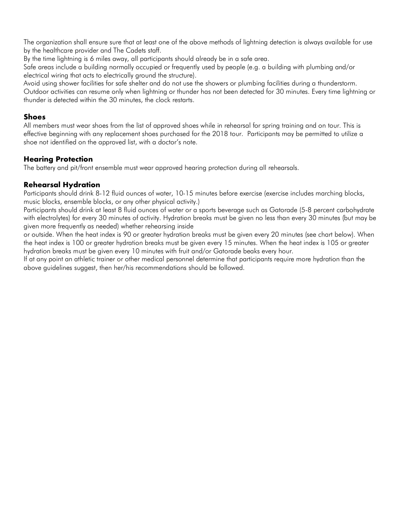The organization shall ensure sure that at least one of the above methods of lightning detection is always available for use by the healthcare provider and The Cadets staff.

By the time lightning is 6 miles away, all participants should already be in a safe area.

Safe areas include a building normally occupied or frequently used by people (e.g. a building with plumbing and/or electrical wiring that acts to electrically ground the structure).

Avoid using shower facilities for safe shelter and do not use the showers or plumbing facilities during a thunderstorm. Outdoor activities can resume only when lightning or thunder has not been detected for 30 minutes. Every time lightning or thunder is detected within the 30 minutes, the clock restarts.

#### **Shoes**

All members must wear shoes from the list of approved shoes while in rehearsal for spring training and on tour. This is effective beginning with any replacement shoes purchased for the 2018 tour. Participants may be permitted to utilize a shoe not identified on the approved list, with a doctor's note.

# **Hearing Protection**

The battery and pit/front ensemble must wear approved hearing protection during all rehearsals.

### **Rehearsal Hydration**

Participants should drink 8-12 fluid ounces of water, 10-15 minutes before exercise (exercise includes marching blocks, music blocks, ensemble blocks, or any other physical activity.)

Participants should drink at least 8 fluid ounces of water or a sports beverage such as Gatorade (5-8 percent carbohydrate with electrolytes) for every 30 minutes of activity. Hydration breaks must be given no less than every 30 minutes (but may be given more frequently as needed) whether rehearsing inside

or outside. When the heat index is 90 or greater hydration breaks must be given every 20 minutes (see chart below). When the heat index is 100 or greater hydration breaks must be given every 15 minutes. When the heat index is 105 or greater hydration breaks must be given every 10 minutes with fruit and/or Gatorade beaks every hour.

If at any point an athletic trainer or other medical personnel determine that participants require more hydration than the above guidelines suggest, then her/his recommendations should be followed.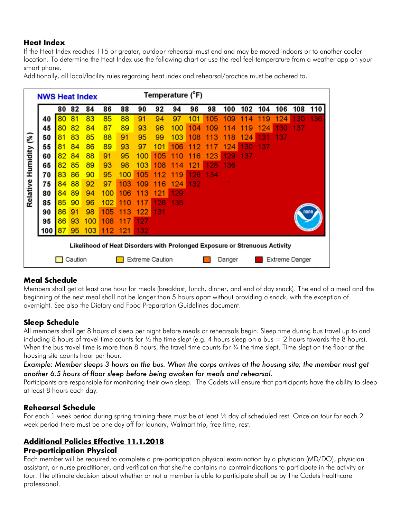# **Heat Index**

If the Heat Index reaches 115 or greater, outdoor rehearsal must end and may be moved indoors or to another cooler location. To determine the Heat Index use the following chart or use the real feel temperature from a weather app on your smart phone.

Additionally, all local/facility rules regarding heat index and rehearsal/practice must be adhered to.

|                                       | <b>NWS Heat Index</b>                                                      |    |    |     |     | Temperature (°F) |                        |             |         |         |     |         |     |     |                |     |     |
|---------------------------------------|----------------------------------------------------------------------------|----|----|-----|-----|------------------|------------------------|-------------|---------|---------|-----|---------|-----|-----|----------------|-----|-----|
|                                       |                                                                            | 80 | 82 | 84  | 86  | 88               | 90                     | 92          | 94      | 96      | 98  | 100     | 102 | 104 | 106            | 108 | 110 |
| $\widetilde{\mathcal{E}}$<br>Humidity | 40                                                                         | 80 | 81 | 83  | 85  | 88               | 91                     | 94          | 97      | 101     | 105 | 109     |     | 9   |                |     | 136 |
|                                       | 45                                                                         | 80 | 82 | 84  | 87  | 89               | 93                     | 96          | 100     | 104     | 109 | 4       | 9   | 24  | 30             | 37  |     |
|                                       | 50                                                                         | 81 | 83 | 85  | 88  | 91               | 95                     | 99          | 103     | 08<br>1 | з   | 8<br>11 | 124 | з   | 37             |     |     |
|                                       | 55                                                                         | 81 | 84 | 86  | 89  | 93               | 97                     | 101         | 106     | 2       |     | 124     | 30  | 37  |                |     |     |
|                                       | 60                                                                         | 82 | 84 | 88  | 91  | 95               | 100                    | 105         | 0       | 6       | 123 | 129     | 137 |     |                |     |     |
|                                       | 65                                                                         | 82 | 85 | 89  | 93  | 98               | 103                    | 08<br>1     | 11<br>4 | 121     | 128 | 136     |     |     |                |     |     |
| Relative                              | 70                                                                         | 83 | 86 | 90  | 95  | 100              | 105                    | 2<br>1<br>1 | 9       | 126     | 134 |         |     |     |                |     |     |
|                                       | 75                                                                         | 84 | 88 | 92  | 97  | 103              | 109                    | 6           | 124     | 132     |     |         |     |     |                |     |     |
|                                       | 80                                                                         | 84 | 89 | 94  | 100 | 106              | 113                    | 121         | 129     |         |     |         |     |     |                |     |     |
|                                       | 85                                                                         | 85 | 90 | 96  | 102 | O                |                        | 26          | 135     |         |     |         |     |     |                |     |     |
|                                       | 90                                                                         | 86 | 91 | 98  | 105 | 1<br>з           | 122                    | 131         |         |         |     |         |     |     |                |     |     |
|                                       | 95                                                                         | 86 | 93 | 100 | 108 | 1                | 127                    |             |         |         |     |         |     |     |                |     |     |
|                                       | 100                                                                        |    | 95 | 103 | 112 | 121              | 132                    |             |         |         |     |         |     |     |                |     |     |
|                                       | Likelihood of Heat Disorders with Prolonged Exposure or Strenuous Activity |    |    |     |     |                  |                        |             |         |         |     |         |     |     |                |     |     |
|                                       | Caution                                                                    |    |    |     |     |                  | <b>Extreme Caution</b> |             |         |         |     | Danger  |     |     | Extreme Danger |     |     |

# **Meal Schedule**

Members shall get at least one hour for meals (breakfast, lunch, dinner, and end of day snack). The end of a meal and the beginning of the next meal shall not be longer than 5 hours apart without providing a snack, with the exception of overnight. See also the Dietary and Food Preparation Guidelines document.

### **Sleep Schedule**

All members shall get 8 hours of sleep per night before meals or rehearsals begin. Sleep time during bus travel up to and including 8 hours of travel time counts for  $\frac{1}{2}$  the time slept (e.g. 4 hours sleep on a bus = 2 hours towards the 8 hours). When the bus travel time is more than 8 hours, the travel time counts for  $\frac{3}{4}$  the time slept. Time slept on the floor at the housing site counts hour per hour.

*Example: Member sleeps 3 hours on the bus. When the corps arrives at the housing site, the member must get another 6.5 hours of floor sleep before being awoken for meals and rehearsal.*

Participants are responsible for monitoring their own sleep. The Cadets will ensure that participants have the ability to sleep at least 8 hours each day.

### **Rehearsal Schedule**

For each 1 week period during spring training there must be at least ½ day of scheduled rest. Once on tour for each 2 week period there must be one day off for laundry, Walmart trip, free time, rest.

#### **Additional Policies Effective 11.1.2018 Pre-participation Physical**

Each member will be required to complete a pre-participation physical examination by a physician (MD/DO), physician assistant, or nurse practitioner, and verification that she/he contains no contraindications to participate in the activity or tour. The ultimate decision about whether or not a member is able to participate shall be by The Cadets healthcare professional.